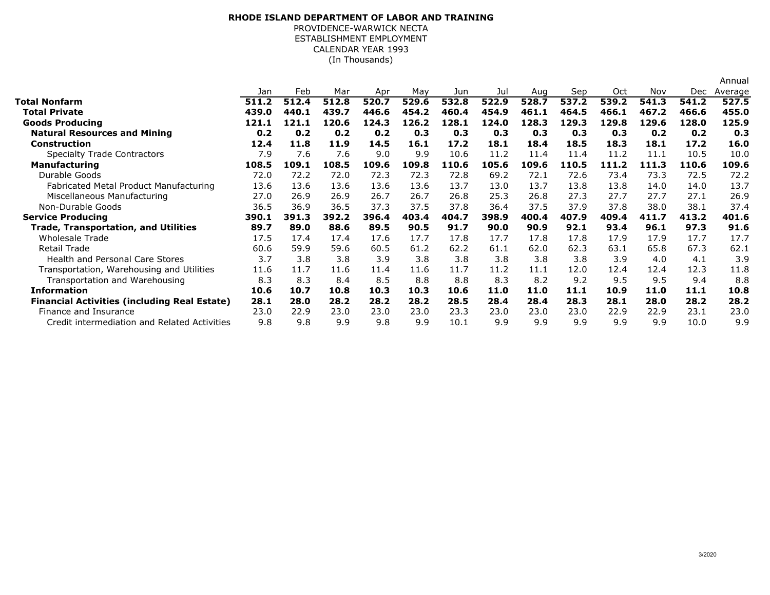## ESTABLISHMENT EMPLOYMENT **RHODE ISLAND DEPARTMENT OF LABOR AND TRAINING**PROVIDENCE-WARWICK NECTACALENDAR YEAR 1993(In Thousands)

|                                                     |       |       |       |       |       |       |       |       |       |       |       |       | Annual  |
|-----------------------------------------------------|-------|-------|-------|-------|-------|-------|-------|-------|-------|-------|-------|-------|---------|
|                                                     | Jan   | Feb   | Mar   | Apr   | May   | Jun   | Jul   | Aug   | Sep   | Oct   | Nov   | Dec   | Average |
| <b>Total Nonfarm</b>                                | 511.2 | 512.4 | 512.8 | 520.7 | 529.6 | 532.8 | 522.9 | 528.7 | 537.2 | 539.2 | 541.3 | 541.2 | 527.5   |
| <b>Total Private</b>                                | 439.0 | 440.1 | 439.7 | 446.6 | 454.2 | 460.4 | 454.9 | 461.1 | 464.5 | 466.1 | 467.2 | 466.6 | 455.0   |
| <b>Goods Producing</b>                              | 121.1 | 121.1 | 120.6 | 124.3 | 126.2 | 128.1 | 124.0 | 128.3 | 129.3 | 129.8 | 129.6 | 128.0 | 125.9   |
| <b>Natural Resources and Mining</b>                 | 0.2   | 0.2   | 0.2   | 0.2   | 0.3   | 0.3   | 0.3   | 0.3   | 0.3   | 0.3   | 0.2   | 0.2   | 0.3     |
| <b>Construction</b>                                 | 12.4  | 11.8  | 11.9  | 14.5  | 16.1  | 17.2  | 18.1  | 18.4  | 18.5  | 18.3  | 18.1  | 17.2  | 16.0    |
| <b>Specialty Trade Contractors</b>                  | 7.9   | 7.6   | 7.6   | 9.0   | 9.9   | 10.6  | 11.2  | 11.4  | 11.4  | 11.2  | 11.1  | 10.5  | 10.0    |
| <b>Manufacturing</b>                                | 108.5 | 109.1 | 108.5 | 109.6 | 109.8 | 110.6 | 105.6 | 109.6 | 110.5 | 111.2 | 111.3 | 110.6 | 109.6   |
| Durable Goods                                       | 72.0  | 72.2  | 72.0  | 72.3  | 72.3  | 72.8  | 69.2  | 72.1  | 72.6  | 73.4  | 73.3  | 72.5  | 72.2    |
| Fabricated Metal Product Manufacturing              | 13.6  | 13.6  | 13.6  | 13.6  | 13.6  | 13.7  | 13.0  | 13.7  | 13.8  | 13.8  | 14.0  | 14.0  | 13.7    |
| Miscellaneous Manufacturing                         | 27.0  | 26.9  | 26.9  | 26.7  | 26.7  | 26.8  | 25.3  | 26.8  | 27.3  | 27.7  | 27.7  | 27.1  | 26.9    |
| Non-Durable Goods                                   | 36.5  | 36.9  | 36.5  | 37.3  | 37.5  | 37.8  | 36.4  | 37.5  | 37.9  | 37.8  | 38.0  | 38.1  | 37.4    |
| <b>Service Producing</b>                            | 390.1 | 391.3 | 392.2 | 396.4 | 403.4 | 404.7 | 398.9 | 400.4 | 407.9 | 409.4 | 411.7 | 413.2 | 401.6   |
| <b>Trade, Transportation, and Utilities</b>         | 89.7  | 89.0  | 88.6  | 89.5  | 90.5  | 91.7  | 90.0  | 90.9  | 92.1  | 93.4  | 96.1  | 97.3  | 91.6    |
| <b>Wholesale Trade</b>                              | 17.5  | 17.4  | 17.4  | 17.6  | 17.7  | 17.8  | 17.7  | 17.8  | 17.8  | 17.9  | 17.9  | 17.7  | 17.7    |
| <b>Retail Trade</b>                                 | 60.6  | 59.9  | 59.6  | 60.5  | 61.2  | 62.2  | 61.1  | 62.0  | 62.3  | 63.1  | 65.8  | 67.3  | 62.1    |
| <b>Health and Personal Care Stores</b>              | 3.7   | 3.8   | 3.8   | 3.9   | 3.8   | 3.8   | 3.8   | 3.8   | 3.8   | 3.9   | 4.0   | 4.1   | 3.9     |
| Transportation, Warehousing and Utilities           | 11.6  | 11.7  | 11.6  | 11.4  | 11.6  | 11.7  | 11.2  | 11.1  | 12.0  | 12.4  | 12.4  | 12.3  | 11.8    |
| Transportation and Warehousing                      | 8.3   | 8.3   | 8.4   | 8.5   | 8.8   | 8.8   | 8.3   | 8.2   | 9.2   | 9.5   | 9.5   | 9.4   | 8.8     |
| <b>Information</b>                                  | 10.6  | 10.7  | 10.8  | 10.3  | 10.3  | 10.6  | 11.0  | 11.0  | 11.1  | 10.9  | 11.0  | 11.1  | 10.8    |
| <b>Financial Activities (including Real Estate)</b> | 28.1  | 28.0  | 28.2  | 28.2  | 28.2  | 28.5  | 28.4  | 28.4  | 28.3  | 28.1  | 28.0  | 28.2  | 28.2    |
| Finance and Insurance                               | 23.0  | 22.9  | 23.0  | 23.0  | 23.0  | 23.3  | 23.0  | 23.0  | 23.0  | 22.9  | 22.9  | 23.1  | 23.0    |
| Credit intermediation and Related Activities        | 9.8   | 9.8   | 9.9   | 9.8   | 9.9   | 10.1  | 9.9   | 9.9   | 9.9   | 9.9   | 9.9   | 10.0  | 9.9     |